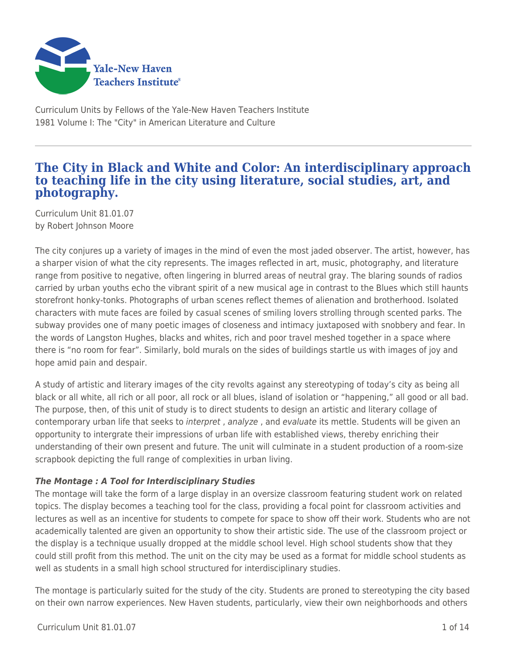

Curriculum Units by Fellows of the Yale-New Haven Teachers Institute 1981 Volume I: The "City" in American Literature and Culture

# **The City in Black and White and Color: An interdisciplinary approach to teaching life in the city using literature, social studies, art, and photography.**

Curriculum Unit 81.01.07 by Robert Johnson Moore

The city conjures up a variety of images in the mind of even the most jaded observer. The artist, however, has a sharper vision of what the city represents. The images reflected in art, music, photography, and literature range from positive to negative, often lingering in blurred areas of neutral gray. The blaring sounds of radios carried by urban youths echo the vibrant spirit of a new musical age in contrast to the Blues which still haunts storefront honky-tonks. Photographs of urban scenes reflect themes of alienation and brotherhood. Isolated characters with mute faces are foiled by casual scenes of smiling lovers strolling through scented parks. The subway provides one of many poetic images of closeness and intimacy juxtaposed with snobbery and fear. In the words of Langston Hughes, blacks and whites, rich and poor travel meshed together in a space where there is "no room for fear". Similarly, bold murals on the sides of buildings startle us with images of joy and hope amid pain and despair.

A study of artistic and literary images of the city revolts against any stereotyping of today's city as being all black or all white, all rich or all poor, all rock or all blues, island of isolation or "happening," all good or all bad. The purpose, then, of this unit of study is to direct students to design an artistic and literary collage of contemporary urban life that seeks to *interpret, analyze,* and evaluate its mettle. Students will be given an opportunity to intergrate their impressions of urban life with established views, thereby enriching their understanding of their own present and future. The unit will culminate in a student production of a room-size scrapbook depicting the full range of complexities in urban living.

# *The Montage : A Tool for Interdisciplinary Studies*

The montage will take the form of a large display in an oversize classroom featuring student work on related topics. The display becomes a teaching tool for the class, providing a focal point for classroom activities and lectures as well as an incentive for students to compete for space to show off their work. Students who are not academically talented are given an opportunity to show their artistic side. The use of the classroom project or the display is a technique usually dropped at the middle school level. High school students show that they could still profit from this method. The unit on the city may be used as a format for middle school students as well as students in a small high school structured for interdisciplinary studies.

The montage is particularly suited for the study of the city. Students are proned to stereotyping the city based on their own narrow experiences. New Haven students, particularly, view their own neighborhoods and others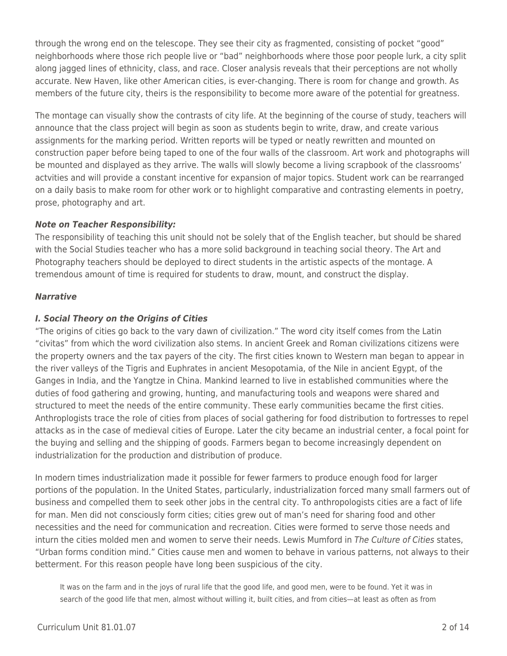through the wrong end on the telescope. They see their city as fragmented, consisting of pocket "good" neighborhoods where those rich people live or "bad" neighborhoods where those poor people lurk, a city split along jagged lines of ethnicity, class, and race. Closer analysis reveals that their perceptions are not wholly accurate. New Haven, like other American cities, is ever-changing. There is room for change and growth. As members of the future city, theirs is the responsibility to become more aware of the potential for greatness.

The montage can visually show the contrasts of city life. At the beginning of the course of study, teachers will announce that the class project will begin as soon as students begin to write, draw, and create various assignments for the marking period. Written reports will be typed or neatly rewritten and mounted on construction paper before being taped to one of the four walls of the classroom. Art work and photographs will be mounted and displayed as they arrive. The walls will slowly become a living scrapbook of the classrooms' actvities and will provide a constant incentive for expansion of major topics. Student work can be rearranged on a daily basis to make room for other work or to highlight comparative and contrasting elements in poetry, prose, photography and art.

## *Note on Teacher Responsibility:*

The responsibility of teaching this unit should not be solely that of the English teacher, but should be shared with the Social Studies teacher who has a more solid background in teaching social theory. The Art and Photography teachers should be deployed to direct students in the artistic aspects of the montage. A tremendous amount of time is required for students to draw, mount, and construct the display.

## *Narrative*

## *I. Social Theory on the Origins of Cities*

"The origins of cities go back to the vary dawn of civilization." The word city itself comes from the Latin "civitas" from which the word civilization also stems. In ancient Greek and Roman civilizations citizens were the property owners and the tax payers of the city. The first cities known to Western man began to appear in the river valleys of the Tigris and Euphrates in ancient Mesopotamia, of the Nile in ancient Egypt, of the Ganges in India, and the Yangtze in China. Mankind learned to live in established communities where the duties of food gathering and growing, hunting, and manufacturing tools and weapons were shared and structured to meet the needs of the entire community. These early communities became the first cities. Anthroplogists trace the role of cities from places of social gathering for food distribution to fortresses to repel attacks as in the case of medieval cities of Europe. Later the city became an industrial center, a focal point for the buying and selling and the shipping of goods. Farmers began to become increasingly dependent on industrialization for the production and distribution of produce.

In modern times industrialization made it possible for fewer farmers to produce enough food for larger portions of the population. In the United States, particularly, industrialization forced many small farmers out of business and compelled them to seek other jobs in the central city. To anthropologists cities are a fact of life for man. Men did not consciously form cities; cities grew out of man's need for sharing food and other necessities and the need for communication and recreation. Cities were formed to serve those needs and inturn the cities molded men and women to serve their needs. Lewis Mumford in The Culture of Cities states, "Urban forms condition mind." Cities cause men and women to behave in various patterns, not always to their betterment. For this reason people have long been suspicious of the city.

It was on the farm and in the joys of rural life that the good life, and good men, were to be found. Yet it was in search of the good life that men, almost without willing it, built cities, and from cities—at least as often as from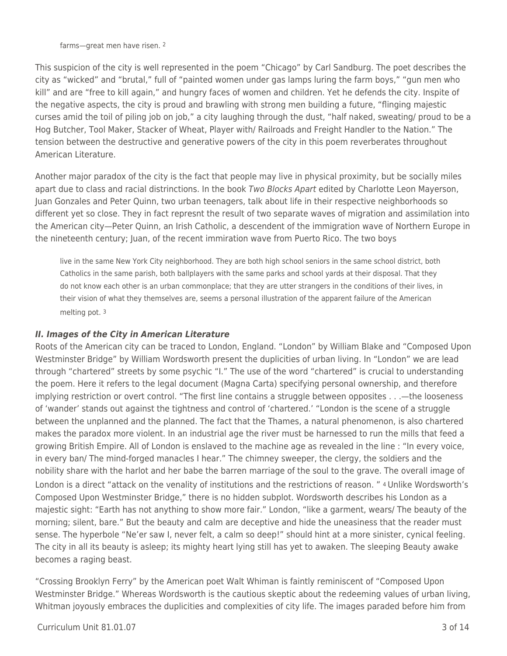farms—great men have risen. 2

This suspicion of the city is well represented in the poem "Chicago" by Carl Sandburg. The poet describes the city as "wicked" and "brutal," full of "painted women under gas lamps luring the farm boys," "gun men who kill" and are "free to kill again," and hungry faces of women and children. Yet he defends the city. Inspite of the negative aspects, the city is proud and brawling with strong men building a future, "flinging majestic curses amid the toil of piling job on job," a city laughing through the dust, "half naked, sweating/ proud to be a Hog Butcher, Tool Maker, Stacker of Wheat, Player with/ Railroads and Freight Handler to the Nation." The tension between the destructive and generative powers of the city in this poem reverberates throughout American Literature.

Another major paradox of the city is the fact that people may live in physical proximity, but be socially miles apart due to class and racial distrinctions. In the book Two Blocks Apart edited by Charlotte Leon Mayerson, Juan Gonzales and Peter Quinn, two urban teenagers, talk about life in their respective neighborhoods so different yet so close. They in fact represnt the result of two separate waves of migration and assimilation into the American city—Peter Quinn, an Irish Catholic, a descendent of the immigration wave of Northern Europe in the nineteenth century; Juan, of the recent immiration wave from Puerto Rico. The two boys

live in the same New York City neighborhood. They are both high school seniors in the same school district, both Catholics in the same parish, both ballplayers with the same parks and school yards at their disposal. That they do not know each other is an urban commonplace; that they are utter strangers in the conditions of their lives, in their vision of what they themselves are, seems a personal illustration of the apparent failure of the American melting pot. 3

#### *II. Images of the City in American Literature*

Roots of the American city can be traced to London, England. "London" by William Blake and "Composed Upon Westminster Bridge" by William Wordsworth present the duplicities of urban living. In "London" we are lead through "chartered" streets by some psychic "I." The use of the word "chartered" is crucial to understanding the poem. Here it refers to the legal document (Magna Carta) specifying personal ownership, and therefore implying restriction or overt control. "The first line contains a struggle between opposites . . .—the looseness of 'wander' stands out against the tightness and control of 'chartered.' "London is the scene of a struggle between the unplanned and the planned. The fact that the Thames, a natural phenomenon, is also chartered makes the paradox more violent. In an industrial age the river must be harnessed to run the mills that feed a growing British Empire. All of London is enslaved to the machine age as revealed in the line : "In every voice, in every ban/ The mind-forged manacles I hear." The chimney sweeper, the clergy, the soldiers and the nobility share with the harlot and her babe the barren marriage of the soul to the grave. The overall image of London is a direct "attack on the venality of institutions and the restrictions of reason. " 4 Unlike Wordsworth's Composed Upon Westminster Bridge," there is no hidden subplot. Wordsworth describes his London as a majestic sight: "Earth has not anything to show more fair." London, "like a garment, wears/ The beauty of the morning; silent, bare." But the beauty and calm are deceptive and hide the uneasiness that the reader must sense. The hyperbole "Ne'er saw I, never felt, a calm so deep!" should hint at a more sinister, cynical feeling. The city in all its beauty is asleep; its mighty heart lying still has yet to awaken. The sleeping Beauty awake becomes a raging beast.

"Crossing Brooklyn Ferry" by the American poet Walt Whiman is faintly reminiscent of "Composed Upon Westminster Bridge." Whereas Wordsworth is the cautious skeptic about the redeeming values of urban living, Whitman joyously embraces the duplicities and complexities of city life. The images paraded before him from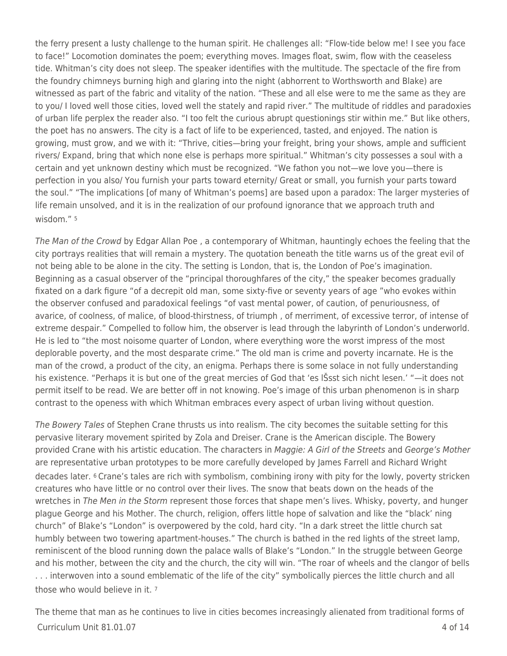the ferry present a lusty challenge to the human spirit. He challenges all: "Flow-tide below me! I see you face to face!" Locomotion dominates the poem; everything moves. Images float, swim, flow with the ceaseless tide. Whitman's city does not sleep. The speaker identifies with the multitude. The spectacle of the fire from the foundry chimneys burning high and glaring into the night (abhorrent to Worthsworth and Blake) are witnessed as part of the fabric and vitality of the nation. "These and all else were to me the same as they are to you/ I loved well those cities, loved well the stately and rapid river." The multitude of riddles and paradoxies of urban life perplex the reader also. "I too felt the curious abrupt questionings stir within me." But like others, the poet has no answers. The city is a fact of life to be experienced, tasted, and enjoyed. The nation is growing, must grow, and we with it: "Thrive, cities—bring your freight, bring your shows, ample and sufficient rivers/ Expand, bring that which none else is perhaps more spiritual." Whitman's city possesses a soul with a certain and yet unknown destiny which must be recognized. "We fathon you not—we love you—there is perfection in you also/ You furnish your parts toward eternity/ Great or small, you furnish your parts toward the soul." "The implications [of many of Whitman's poems] are based upon a paradox: The larger mysteries of life remain unsolved, and it is in the realization of our profound ignorance that we approach truth and wisdom." <sup>5</sup>

The Man of the Crowd by Edgar Allan Poe , a contemporary of Whitman, hauntingly echoes the feeling that the city portrays realities that will remain a mystery. The quotation beneath the title warns us of the great evil of not being able to be alone in the city. The setting is London, that is, the London of Poe's imagination. Beginning as a casual observer of the "principal thoroughfares of the city," the speaker becomes gradually fixated on a dark figure "of a decrepit old man, some sixty-five or seventy years of age "who evokes within the observer confused and paradoxical feelings "of vast mental power, of caution, of penuriousness, of avarice, of coolness, of malice, of blood-thirstness, of triumph , of merriment, of excessive terror, of intense of extreme despair." Compelled to follow him, the observer is lead through the labyrinth of London's underworld. He is led to "the most noisome quarter of London, where everything wore the worst impress of the most deplorable poverty, and the most desparate crime." The old man is crime and poverty incarnate. He is the man of the crowd, a product of the city, an enigma. Perhaps there is some solace in not fully understanding his existence. "Perhaps it is but one of the great mercies of God that 'es lŠsst sich nicht lesen.' "—it does not permit itself to be read. We are better off in not knowing. Poe's image of this urban phenomenon is in sharp contrast to the openess with which Whitman embraces every aspect of urban living without question.

The Bowery Tales of Stephen Crane thrusts us into realism. The city becomes the suitable setting for this pervasive literary movement spirited by Zola and Dreiser. Crane is the American disciple. The Bowery provided Crane with his artistic education. The characters in Maggie: A Girl of the Streets and George's Mother are representative urban prototypes to be more carefully developed by James Farrell and Richard Wright decades later. 6 Crane's tales are rich with symbolism, combining irony with pity for the lowly, poverty stricken creatures who have little or no control over their lives. The snow that beats down on the heads of the wretches in The Men in the Storm represent those forces that shape men's lives. Whisky, poverty, and hunger plague George and his Mother. The church, religion, offers little hope of salvation and like the "black' ning church" of Blake's "London" is overpowered by the cold, hard city. "In a dark street the little church sat humbly between two towering apartment-houses." The church is bathed in the red lights of the street lamp, reminiscent of the blood running down the palace walls of Blake's "London." In the struggle between George and his mother, between the city and the church, the city will win. "The roar of wheels and the clangor of bells . . . interwoven into a sound emblematic of the life of the city" symbolically pierces the little church and all those who would believe in it. <sup>7</sup>

Curriculum Unit 81.01.07 4 of 14 The theme that man as he continues to live in cities becomes increasingly alienated from traditional forms of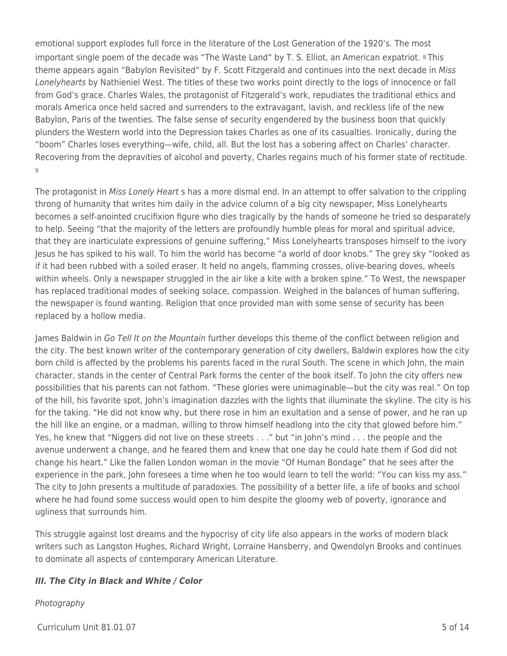emotional support explodes full force in the literature of the Lost Generation of the 1920's. The most important single poem of the decade was "The Waste Land" by T. S. Elliot, an American expatriot. 8 This theme appears again "Babylon Revisited" by F. Scott Fitzgerald and continues into the next decade in Miss Lonelyhearts by Nathieniel West. The titles of these two works point directly to the logs of innocence or fall from God's grace. Charles Wales, the protagonist of Fitzgerald's work, repudiates the traditional ethics and morals America once held sacred and surrenders to the extravagant, lavish, and reckless life of the new Babylon, Paris of the twenties. The false sense of security engendered by the business boon that quickly plunders the Western world into the Depression takes Charles as one of its casualties. Ironically, during the "boom" Charles loses everything—wife, child, all. But the lost has a sobering affect on Charles' character. Recovering from the depravities of alcohol and poverty, Charles regains much of his former state of rectitude. 9

The protagonist in Miss Lonely Heart s has a more dismal end. In an attempt to offer salvation to the crippling throng of humanity that writes him daily in the advice column of a big city newspaper, Miss Lonelyhearts becomes a self-anointed crucifixion figure who dies tragically by the hands of someone he tried so desparately to help. Seeing "that the majority of the letters are profoundly humble pleas for moral and spiritual advice, that they are inarticulate expressions of genuine suffering," Miss Lonelyhearts transposes himself to the ivory Jesus he has spiked to his wall. To him the world has become "a world of door knobs." The grey sky "looked as if it had been rubbed with a soiled eraser. It held no angels, flamming crosses, olive-bearing doves, wheels within wheels. Only a newspaper struggled in the air like a kite with a broken spine." To West, the newspaper has replaced traditional modes of seeking solace, compassion. Weighed in the balances of human suffering, the newspaper is found wanting. Religion that once provided man with some sense of security has been replaced by a hollow media.

James Baldwin in Go Tell It on the Mountain further develops this theme of the conflict between religion and the city. The best known writer of the contemporary generation of city dwellers, Baldwin explores how the city born child is affected by the problems his parents faced in the rural South. The scene in which John, the main character, stands in the center of Central Park forms the center of the book itself. To John the city offers new possibilities that his parents can not fathom. "These glories were unimaginable—but the city was real." On top of the hill, his favorite spot, John's imagination dazzles with the lights that illuminate the skyline. The city is his for the taking. "He did not know why, but there rose in him an exultation and a sense of power, and he ran up the hill like an engine, or a madman, willing to throw himself headlong into the city that glowed before him." Yes, he knew that "Niggers did not live on these streets . . ." but "in John's mind . . . the people and the avenue underwent a change, and he feared them and knew that one day he could hate them if God did not change his heart." Like the fallen London woman in the movie "Of Human Bondage" that he sees after the experience in the park, John foresees a time when he too would learn to tell the world: "You can kiss my ass." The city to John presents a multitude of paradoxies. The possibility of a better life, a life of books and school where he had found some success would open to him despite the gloomy web of poverty, ignorance and ugliness that surrounds him.

This struggle against lost dreams and the hypocrisy of city life also appears in the works of modern black writers such as Langston Hughes, Richard Wright, Lorraine Hansberry, and Qwendolyn Brooks and continues to dominate all aspects of contemporary American Literature.

# *III. The City in Black and White / Color*

# Photography

 $C$ urriculum Unit 81.01.07  $\hspace{1.5cm}$  5 of 14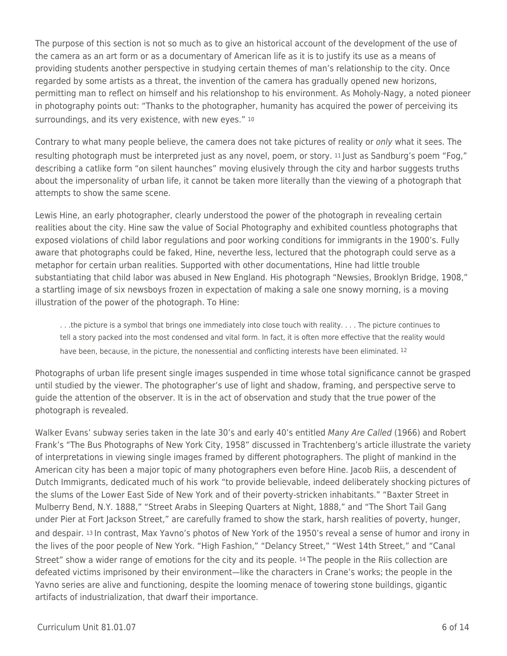The purpose of this section is not so much as to give an historical account of the development of the use of the camera as an art form or as a documentary of American life as it is to justify its use as a means of providing students another perspective in studying certain themes of man's relationship to the city. Once regarded by some artists as a threat, the invention of the camera has gradually opened new horizons, permitting man to reflect on himself and his relationshop to his environment. As Moholy-Nagy, a noted pioneer in photography points out: "Thanks to the photographer, humanity has acquired the power of perceiving its surroundings, and its very existence, with new eyes." 10

Contrary to what many people believe, the camera does not take pictures of reality or only what it sees. The resulting photograph must be interpreted just as any novel, poem, or story. 11 Just as Sandburg's poem "Fog," describing a catlike form "on silent haunches" moving elusively through the city and harbor suggests truths about the impersonality of urban life, it cannot be taken more literally than the viewing of a photograph that attempts to show the same scene.

Lewis Hine, an early photographer, clearly understood the power of the photograph in revealing certain realities about the city. Hine saw the value of Social Photography and exhibited countless photographs that exposed violations of child labor regulations and poor working conditions for immigrants in the 1900's. Fully aware that photographs could be faked, Hine, neverthe less, lectured that the photograph could serve as a metaphor for certain urban realities. Supported with other documentations, Hine had little trouble substantiating that child labor was abused in New England. His photograph "Newsies, Brooklyn Bridge, 1908," a startling image of six newsboys frozen in expectation of making a sale one snowy morning, is a moving illustration of the power of the photograph. To Hine:

. . .the picture is a symbol that brings one immediately into close touch with reality. . . . The picture continues to tell a story packed into the most condensed and vital form. In fact, it is often more effective that the reality would have been, because, in the picture, the nonessential and conflicting interests have been eliminated. 12

Photographs of urban life present single images suspended in time whose total significance cannot be grasped until studied by the viewer. The photographer's use of light and shadow, framing, and perspective serve to guide the attention of the observer. It is in the act of observation and study that the true power of the photograph is revealed.

Walker Evans' subway series taken in the late 30's and early 40's entitled Many Are Called (1966) and Robert Frank's "The Bus Photographs of New York City, 1958" discussed in Trachtenberg's article illustrate the variety of interpretations in viewing single images framed by different photographers. The plight of mankind in the American city has been a major topic of many photographers even before Hine. Jacob Riis, a descendent of Dutch Immigrants, dedicated much of his work "to provide believable, indeed deliberately shocking pictures of the slums of the Lower East Side of New York and of their poverty-stricken inhabitants." "Baxter Street in Mulberry Bend, N.Y. 1888," "Street Arabs in Sleeping Quarters at Night, 1888," and "The Short Tail Gang under Pier at Fort Jackson Street," are carefully framed to show the stark, harsh realities of poverty, hunger, and despair. 13 In contrast, Max Yavno's photos of New York of the 1950's reveal a sense of humor and irony in the lives of the poor people of New York. "High Fashion," "Delancy Street," "West 14th Street," and "Canal Street" show a wider range of emotions for the city and its people. 14 The people in the Riis collection are defeated victims imprisoned by their environment—like the characters in Crane's works; the people in the Yavno series are alive and functioning, despite the looming menace of towering stone buildings, gigantic artifacts of industrialization, that dwarf their importance.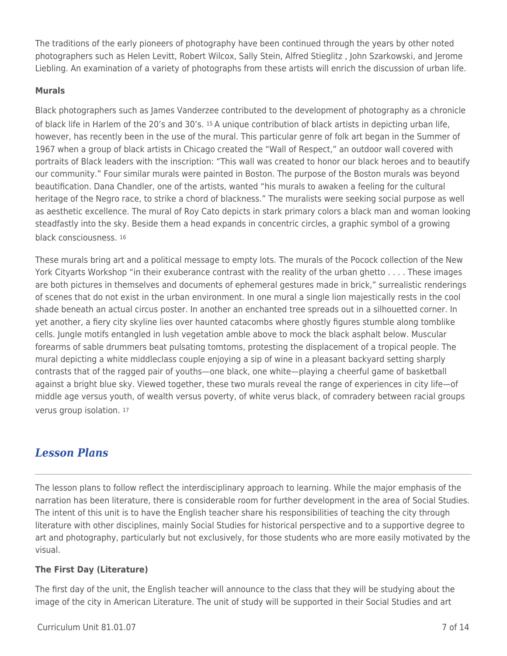The traditions of the early pioneers of photography have been continued through the years by other noted photographers such as Helen Levitt, Robert Wilcox, Sally Stein, Alfred Stieglitz , John Szarkowski, and Jerome Liebling. An examination of a variety of photographs from these artists will enrich the discussion of urban life.

# **Murals**

Black photographers such as James Vanderzee contributed to the development of photography as a chronicle of black life in Harlem of the 20's and 30's. 15 A unique contribution of black artists in depicting urban life, however, has recently been in the use of the mural. This particular genre of folk art began in the Summer of 1967 when a group of black artists in Chicago created the "Wall of Respect," an outdoor wall covered with portraits of Black leaders with the inscription: "This wall was created to honor our black heroes and to beautify our community." Four similar murals were painted in Boston. The purpose of the Boston murals was beyond beautification. Dana Chandler, one of the artists, wanted "his murals to awaken a feeling for the cultural heritage of the Negro race, to strike a chord of blackness." The muralists were seeking social purpose as well as aesthetic excellence. The mural of Roy Cato depicts in stark primary colors a black man and woman looking steadfastly into the sky. Beside them a head expands in concentric circles, a graphic symbol of a growing black consciousness. <sup>16</sup>

These murals bring art and a political message to empty lots. The murals of the Pocock collection of the New York Cityarts Workshop "in their exuberance contrast with the reality of the urban ghetto . . . . These images are both pictures in themselves and documents of ephemeral gestures made in brick," surrealistic renderings of scenes that do not exist in the urban environment. In one mural a single lion majestically rests in the cool shade beneath an actual circus poster. In another an enchanted tree spreads out in a silhouetted corner. In yet another, a fiery city skyline lies over haunted catacombs where ghostly figures stumble along tomblike cells. Jungle motifs entangled in lush vegetation amble above to mock the black asphalt below. Muscular forearms of sable drummers beat pulsating tomtoms, protesting the displacement of a tropical people. The mural depicting a white middleclass couple enjoying a sip of wine in a pleasant backyard setting sharply contrasts that of the ragged pair of youths—one black, one white—playing a cheerful game of basketball against a bright blue sky. Viewed together, these two murals reveal the range of experiences in city life—of middle age versus youth, of wealth versus poverty, of white verus black, of comradery between racial groups verus group isolation. <sup>17</sup>

# *Lesson Plans*

The lesson plans to follow reflect the interdisciplinary approach to learning. While the major emphasis of the narration has been literature, there is considerable room for further development in the area of Social Studies. The intent of this unit is to have the English teacher share his responsibilities of teaching the city through literature with other disciplines, mainly Social Studies for historical perspective and to a supportive degree to art and photography, particularly but not exclusively, for those students who are more easily motivated by the visual.

# **The First Day (Literature)**

The first day of the unit, the English teacher will announce to the class that they will be studying about the image of the city in American Literature. The unit of study will be supported in their Social Studies and art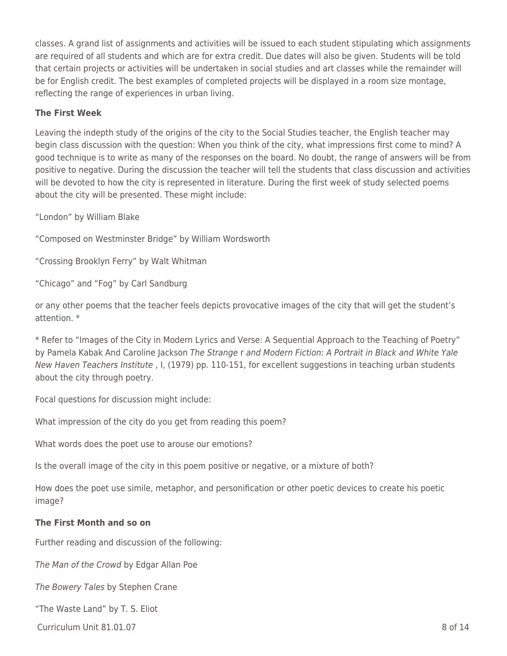classes. A grand list of assignments and activities will be issued to each student stipulating which assignments are required of all students and which are for extra credit. Due dates will also be given. Students will be told that certain projects or activities will be undertaken in social studies and art classes while the remainder will be for English credit. The best examples of completed projects will be displayed in a room size montage, reflecting the range of experiences in urban living.

## **The First Week**

Leaving the indepth study of the origins of the city to the Social Studies teacher, the English teacher may begin class discussion with the question: When you think of the city, what impressions first come to mind? A good technique is to write as many of the responses on the board. No doubt, the range of answers will be from positive to negative. During the discussion the teacher will tell the students that class discussion and activities will be devoted to how the city is represented in literature. During the first week of study selected poems about the city will be presented. These might include:

"London" by William Blake

"Composed on Westminster Bridge" by William Wordsworth

"Crossing Brooklyn Ferry" by Walt Whitman

"Chicago" and "Fog" by Carl Sandburg

or any other poems that the teacher feels depicts provocative images of the city that will get the student's attention. \*

\* Refer to "Images of the City in Modern Lyrics and Verse: A Sequential Approach to the Teaching of Poetry" by Pamela Kabak And Caroline Jackson The Strange r and Modern Fiction: A Portrait in Black and White Yale New Haven Teachers Institute , I, (1979) pp. 110-151, for excellent suggestions in teaching urban students about the city through poetry.

Focal questions for discussion might include:

What impression of the city do you get from reading this poem?

What words does the poet use to arouse our emotions?

Is the overall image of the city in this poem positive or negative, or a mixture of both?

How does the poet use simile, metaphor, and personification or other poetic devices to create his poetic image?

#### **The First Month and so on**

Further reading and discussion of the following:

The Man of the Crowd by Edgar Allan Poe

The Bowery Tales by Stephen Crane

"The Waste Land" by T. S. Eliot

 $C$ urriculum Unit 81.01.07  $\qquad \qquad$  8 of 14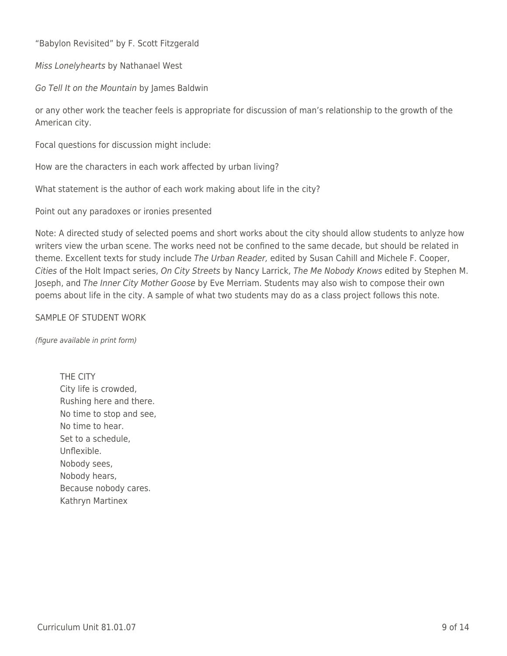"Babylon Revisited" by F. Scott Fitzgerald

Miss Lonelyhearts by Nathanael West

Go Tell It on the Mountain by James Baldwin

or any other work the teacher feels is appropriate for discussion of man's relationship to the growth of the American city.

Focal questions for discussion might include:

How are the characters in each work affected by urban living?

What statement is the author of each work making about life in the city?

Point out any paradoxes or ironies presented

Note: A directed study of selected poems and short works about the city should allow students to anlyze how writers view the urban scene. The works need not be confined to the same decade, but should be related in theme. Excellent texts for study include The Urban Reader, edited by Susan Cahill and Michele F. Cooper, Cities of the Holt Impact series, On City Streets by Nancy Larrick, The Me Nobody Knows edited by Stephen M. Joseph, and The Inner City Mother Goose by Eve Merriam. Students may also wish to compose their own poems about life in the city. A sample of what two students may do as a class project follows this note.

## SAMPLE OF STUDENT WORK

(figure available in print form)

THE CITY City life is crowded, Rushing here and there. No time to stop and see, No time to hear. Set to a schedule, Unflexible. Nobody sees, Nobody hears, Because nobody cares. Kathryn Martinex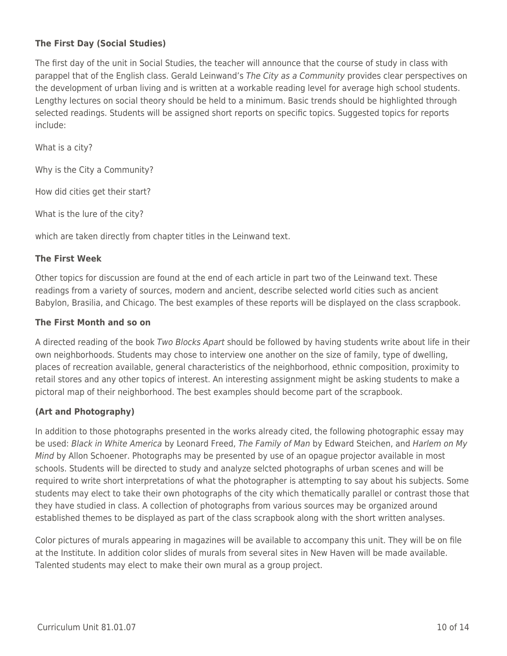# **The First Day (Social Studies)**

The first day of the unit in Social Studies, the teacher will announce that the course of study in class with parappel that of the English class. Gerald Leinwand's The City as a Community provides clear perspectives on the development of urban living and is written at a workable reading level for average high school students. Lengthy lectures on social theory should be held to a minimum. Basic trends should be highlighted through selected readings. Students will be assigned short reports on specific topics. Suggested topics for reports include:

What is a city?

Why is the City a Community?

How did cities get their start?

What is the lure of the city?

which are taken directly from chapter titles in the Leinwand text.

#### **The First Week**

Other topics for discussion are found at the end of each article in part two of the Leinwand text. These readings from a variety of sources, modern and ancient, describe selected world cities such as ancient Babylon, Brasilia, and Chicago. The best examples of these reports will be displayed on the class scrapbook.

#### **The First Month and so on**

A directed reading of the book Two Blocks Apart should be followed by having students write about life in their own neighborhoods. Students may chose to interview one another on the size of family, type of dwelling, places of recreation available, general characteristics of the neighborhood, ethnic composition, proximity to retail stores and any other topics of interest. An interesting assignment might be asking students to make a pictoral map of their neighborhood. The best examples should become part of the scrapbook.

# **(Art and Photography)**

In addition to those photographs presented in the works already cited, the following photographic essay may be used: Black in White America by Leonard Freed, The Family of Man by Edward Steichen, and Harlem on My Mind by Allon Schoener. Photographs may be presented by use of an opague projector available in most schools. Students will be directed to study and analyze selcted photographs of urban scenes and will be required to write short interpretations of what the photographer is attempting to say about his subjects. Some students may elect to take their own photographs of the city which thematically parallel or contrast those that they have studied in class. A collection of photographs from various sources may be organized around established themes to be displayed as part of the class scrapbook along with the short written analyses.

Color pictures of murals appearing in magazines will be available to accompany this unit. They will be on file at the Institute. In addition color slides of murals from several sites in New Haven will be made available. Talented students may elect to make their own mural as a group project.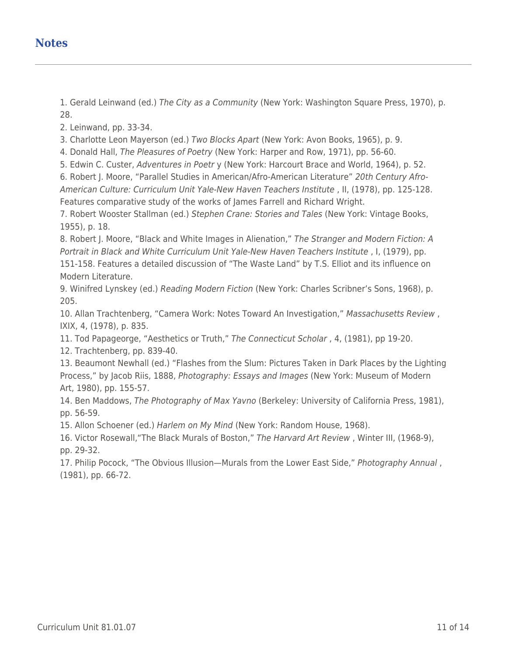# **Notes**

1. Gerald Leinwand (ed.) The City as a Community (New York: Washington Square Press, 1970), p. 28.

2. Leinwand, pp. 33-34.

3. Charlotte Leon Mayerson (ed.) Two Blocks Apart (New York: Avon Books, 1965), p. 9.

4. Donald Hall, The Pleasures of Poetry (New York: Harper and Row, 1971), pp. 56-60.

5. Edwin C. Custer, Adventures in Poetr y (New York: Harcourt Brace and World, 1964), p. 52.

6. Robert J. Moore, "Parallel Studies in American/Afro-American Literature" 20th Century Afro-American Culture: Curriculum Unit Yale-New Haven Teachers Institute , II, (1978), pp. 125-128. Features comparative study of the works of James Farrell and Richard Wright.

7. Robert Wooster Stallman (ed.) Stephen Crane: Stories and Tales (New York: Vintage Books, 1955), p. 18.

8. Robert J. Moore, "Black and White Images in Alienation," The Stranger and Modern Fiction: A Portrait in Black and White Curriculum Unit Yale-New Haven Teachers Institute , I, (1979), pp.

151-158. Features a detailed discussion of "The Waste Land" by T.S. Elliot and its influence on Modern Literature.

9. Winifred Lynskey (ed.) Reading Modern Fiction (New York: Charles Scribner's Sons, 1968), p. 205.

10. Allan Trachtenberg, "Camera Work: Notes Toward An Investigation," Massachusetts Review , IXIX, 4, (1978), p. 835.

11. Tod Papageorge, "Aesthetics or Truth," The Connecticut Scholar , 4, (1981), pp 19-20.

12. Trachtenberg, pp. 839-40.

13. Beaumont Newhall (ed.) "Flashes from the Slum: Pictures Taken in Dark Places by the Lighting Process," by Jacob Riis, 1888, Photography: Essays and Images (New York: Museum of Modern Art, 1980), pp. 155-57.

14. Ben Maddows, The Photography of Max Yavno (Berkeley: University of California Press, 1981), pp. 56-59.

15. Allon Schoener (ed.) Harlem on My Mind (New York: Random House, 1968).

16. Victor Rosewall,"The Black Murals of Boston," The Harvard Art Review , Winter III, (1968-9), pp. 29-32.

17. Philip Pocock, "The Obvious Illusion—Murals from the Lower East Side," Photography Annual , (1981), pp. 66-72.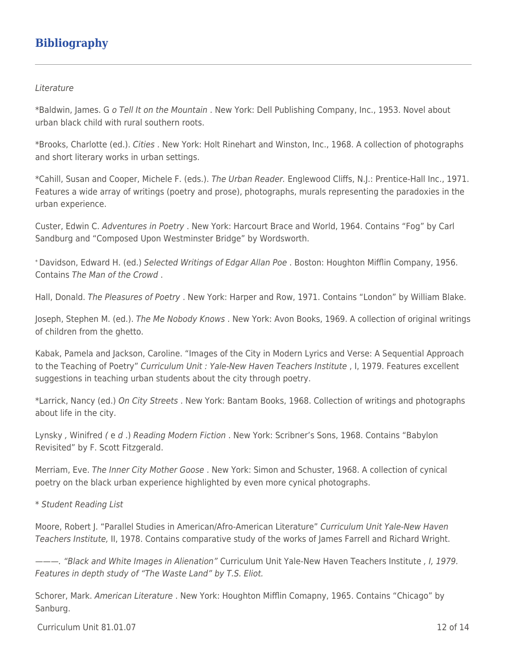# **Bibliography**

#### **Literature**

\*Baldwin, James. G o Tell It on the Mountain . New York: Dell Publishing Company, Inc., 1953. Novel about urban black child with rural southern roots.

\*Brooks, Charlotte (ed.). Cities . New York: Holt Rinehart and Winston, Inc., 1968. A collection of photographs and short literary works in urban settings.

\*Cahill, Susan and Cooper, Michele F. (eds.). The Urban Reader. Englewood Cliffs, N.J.: Prentice-Hall Inc., 1971. Features a wide array of writings (poetry and prose), photographs, murals representing the paradoxies in the urban experience.

Custer, Edwin C. Adventures in Poetry . New York: Harcourt Brace and World, 1964. Contains "Fog" by Carl Sandburg and "Composed Upon Westminster Bridge" by Wordsworth.

\* Davidson, Edward H. (ed.) Selected Writings of Edgar Allan Poe . Boston: Houghton Mifflin Company, 1956. Contains The Man of the Crowd .

Hall, Donald. The Pleasures of Poetry . New York: Harper and Row, 1971. Contains "London" by William Blake.

Joseph, Stephen M. (ed.). The Me Nobody Knows . New York: Avon Books, 1969. A collection of original writings of children from the ghetto.

Kabak, Pamela and Jackson, Caroline. "Images of the City in Modern Lyrics and Verse: A Sequential Approach to the Teaching of Poetry" Curriculum Unit : Yale-New Haven Teachers Institute , I, 1979. Features excellent suggestions in teaching urban students about the city through poetry.

\*Larrick, Nancy (ed.) On City Streets . New York: Bantam Books, 1968. Collection of writings and photographs about life in the city.

Lynsky , Winifred ( e d .) Reading Modern Fiction . New York: Scribner's Sons, 1968. Contains "Babylon Revisited" by F. Scott Fitzgerald.

Merriam, Eve. The Inner City Mother Goose . New York: Simon and Schuster, 1968. A collection of cynical poetry on the black urban experience highlighted by even more cynical photographs.

\* Student Reading List

Moore, Robert J. "Parallel Studies in American/Afro-American Literature" Curriculum Unit Yale-New Haven Teachers Institute, II, 1978. Contains comparative study of the works of James Farrell and Richard Wright.

———. "Black and White Images in Alienation" Curriculum Unit Yale-New Haven Teachers Institute , I, 1979. Features in depth study of "The Waste Land" by T.S. Eliot.

Schorer, Mark. American Literature . New York: Houghton Mifflin Comapny, 1965. Contains "Chicago" by Sanburg.

Curriculum Unit 81.01.07 12 of 14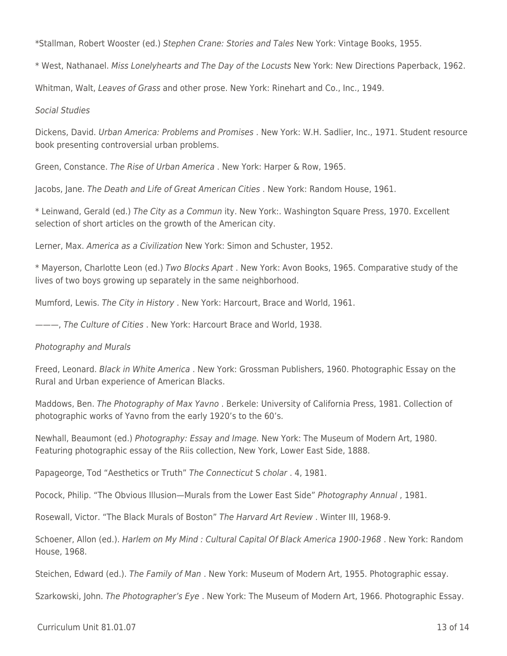\*Stallman, Robert Wooster (ed.) Stephen Crane: Stories and Tales New York: Vintage Books, 1955.

\* West, Nathanael. Miss Lonelyhearts and The Day of the Locusts New York: New Directions Paperback, 1962.

Whitman, Walt, Leaves of Grass and other prose. New York: Rinehart and Co., Inc., 1949.

#### Social Studies

Dickens, David. Urban America: Problems and Promises . New York: W.H. Sadlier, Inc., 1971. Student resource book presenting controversial urban problems.

Green, Constance. The Rise of Urban America . New York: Harper & Row, 1965.

Jacobs, Jane. The Death and Life of Great American Cities . New York: Random House, 1961.

\* Leinwand, Gerald (ed.) The City as a Commun ity. New York:. Washington Square Press, 1970. Excellent selection of short articles on the growth of the American city.

Lerner, Max. America as a Civilization New York: Simon and Schuster, 1952.

\* Mayerson, Charlotte Leon (ed.) Two Blocks Apart . New York: Avon Books, 1965. Comparative study of the lives of two boys growing up separately in the same neighborhood.

Mumford, Lewis. The City in History . New York: Harcourt, Brace and World, 1961.

———, The Culture of Cities . New York: Harcourt Brace and World, 1938.

#### Photography and Murals

Freed, Leonard. Black in White America . New York: Grossman Publishers, 1960. Photographic Essay on the Rural and Urban experience of American Blacks.

Maddows, Ben. The Photography of Max Yavno . Berkele: University of California Press, 1981. Collection of photographic works of Yavno from the early 1920's to the 60's.

Newhall, Beaumont (ed.) Photography: Essay and Image. New York: The Museum of Modern Art, 1980. Featuring photographic essay of the Riis collection, New York, Lower East Side, 1888.

Papageorge, Tod "Aesthetics or Truth" The Connecticut S cholar . 4, 1981.

Pocock, Philip. "The Obvious Illusion—Murals from the Lower East Side" Photography Annual , 1981.

Rosewall, Victor. "The Black Murals of Boston" The Harvard Art Review . Winter III, 1968-9.

Schoener, Allon (ed.). Harlem on My Mind : Cultural Capital Of Black America 1900-1968 . New York: Random House, 1968.

Steichen, Edward (ed.). The Family of Man . New York: Museum of Modern Art, 1955. Photographic essay.

Szarkowski, John. The Photographer's Eye. New York: The Museum of Modern Art, 1966. Photographic Essay.